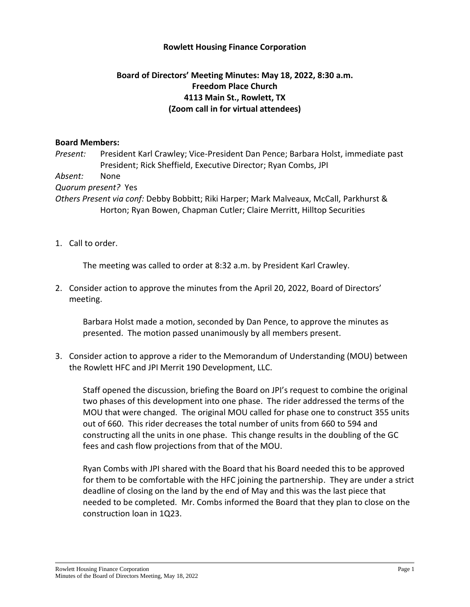## **Rowlett Housing Finance Corporation**

## **Board of Directors' Meeting Minutes: May 18, 2022, 8:30 a.m. Freedom Place Church 4113 Main St., Rowlett, TX (Zoom call in for virtual attendees)**

## **Board Members:**

*Present:* President Karl Crawley; Vice-President Dan Pence; Barbara Holst, immediate past President; Rick Sheffield, Executive Director; Ryan Combs, JPI

*Absent:* None

*Quorum present?* Yes

*Others Present via conf:* Debby Bobbitt; Riki Harper; Mark Malveaux, McCall, Parkhurst & Horton; Ryan Bowen, Chapman Cutler; Claire Merritt, Hilltop Securities

1. Call to order.

The meeting was called to order at 8:32 a.m. by President Karl Crawley.

2. Consider action to approve the minutes from the April 20, 2022, Board of Directors' meeting.

Barbara Holst made a motion, seconded by Dan Pence, to approve the minutes as presented. The motion passed unanimously by all members present.

3. Consider action to approve a rider to the Memorandum of Understanding (MOU) between the Rowlett HFC and JPI Merrit 190 Development, LLC.

Staff opened the discussion, briefing the Board on JPI's request to combine the original two phases of this development into one phase. The rider addressed the terms of the MOU that were changed. The original MOU called for phase one to construct 355 units out of 660. This rider decreases the total number of units from 660 to 594 and constructing all the units in one phase. This change results in the doubling of the GC fees and cash flow projections from that of the MOU.

Ryan Combs with JPI shared with the Board that his Board needed this to be approved for them to be comfortable with the HFC joining the partnership. They are under a strict deadline of closing on the land by the end of May and this was the last piece that needed to be completed. Mr. Combs informed the Board that they plan to close on the construction loan in 1Q23.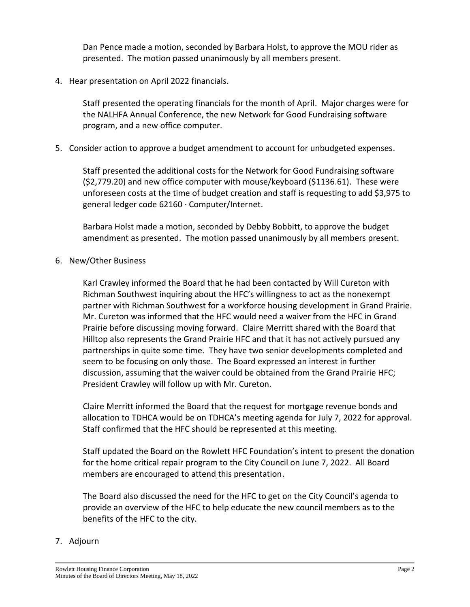Dan Pence made a motion, seconded by Barbara Holst, to approve the MOU rider as presented. The motion passed unanimously by all members present.

4. Hear presentation on April 2022 financials.

Staff presented the operating financials for the month of April. Major charges were for the NALHFA Annual Conference, the new Network for Good Fundraising software program, and a new office computer.

5. Consider action to approve a budget amendment to account for unbudgeted expenses.

Staff presented the additional costs for the Network for Good Fundraising software (\$2,779.20) and new office computer with mouse/keyboard (\$1136.61). These were unforeseen costs at the time of budget creation and staff is requesting to add \$3,975 to general ledger code 62160 · Computer/Internet.

Barbara Holst made a motion, seconded by Debby Bobbitt, to approve the budget amendment as presented. The motion passed unanimously by all members present.

6. New/Other Business

Karl Crawley informed the Board that he had been contacted by Will Cureton with Richman Southwest inquiring about the HFC's willingness to act as the nonexempt partner with Richman Southwest for a workforce housing development in Grand Prairie. Mr. Cureton was informed that the HFC would need a waiver from the HFC in Grand Prairie before discussing moving forward. Claire Merritt shared with the Board that Hilltop also represents the Grand Prairie HFC and that it has not actively pursued any partnerships in quite some time. They have two senior developments completed and seem to be focusing on only those. The Board expressed an interest in further discussion, assuming that the waiver could be obtained from the Grand Prairie HFC; President Crawley will follow up with Mr. Cureton.

Claire Merritt informed the Board that the request for mortgage revenue bonds and allocation to TDHCA would be on TDHCA's meeting agenda for July 7, 2022 for approval. Staff confirmed that the HFC should be represented at this meeting.

Staff updated the Board on the Rowlett HFC Foundation's intent to present the donation for the home critical repair program to the City Council on June 7, 2022. All Board members are encouraged to attend this presentation.

The Board also discussed the need for the HFC to get on the City Council's agenda to provide an overview of the HFC to help educate the new council members as to the benefits of the HFC to the city.

## 7. Adjourn